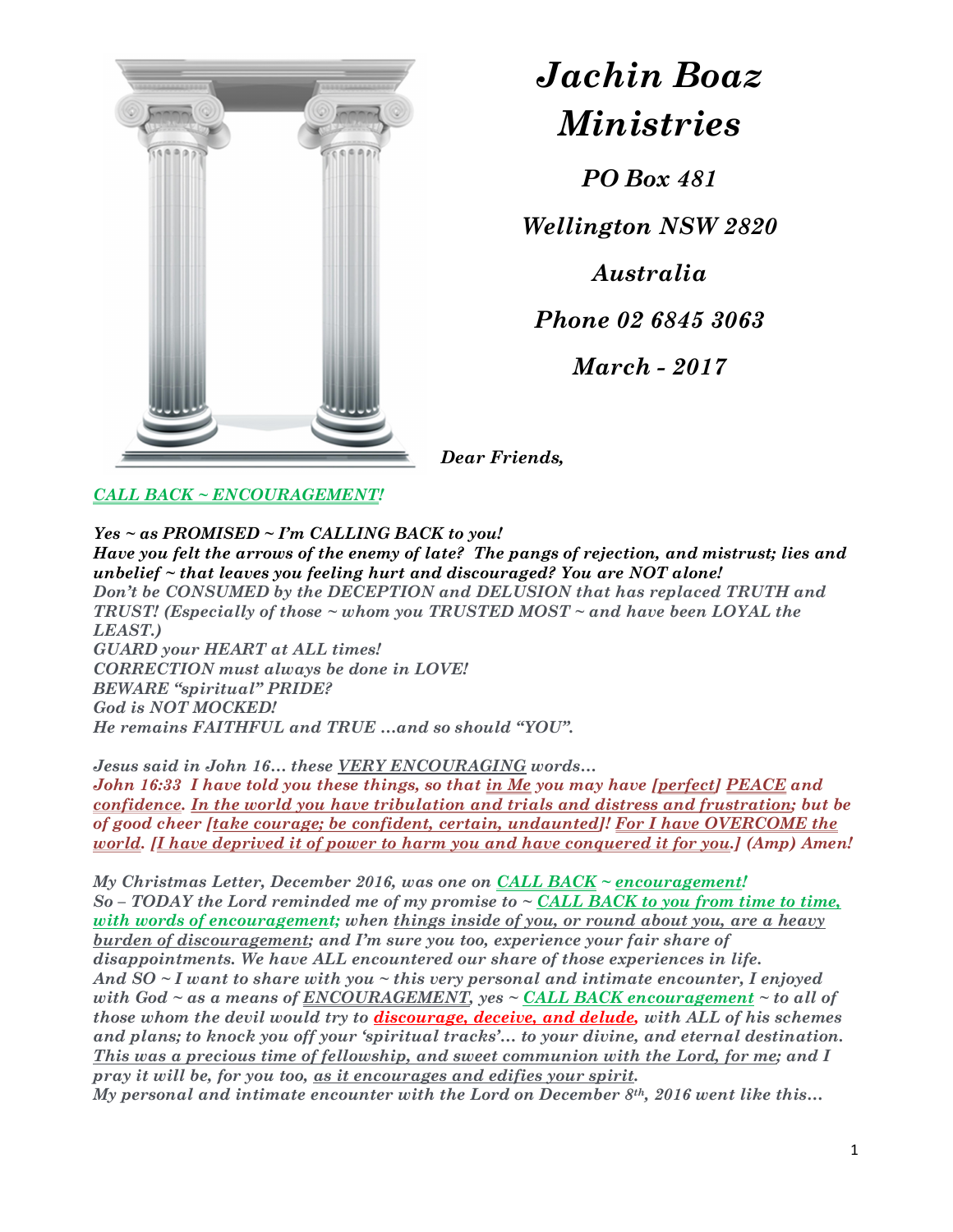

## Jachin Boaz Ministries

PO Box 481

Wellington NSW 2820

Australia

Phone 02 6845 3063

March - 2017

Dear Friends,

## CALL BACK ~ ENCOURAGEMENT!

## $Yes ~ a s$  PROMISED ~ I'm CALLING BACK to you!

Have you felt the arrows of the enemy of late? The pangs of rejection, and mistrust; lies and unbelief  $\sim$  that leaves you feeling hurt and discouraged? You are NOT alone! Don't be CONSUMED by the DECEPTION and DELUSION that has replaced TRUTH and **TRUST!** (Especially of those  $\sim$  whom you TRUSTED MOST  $\sim$  and have been LOYAL the LEAST.) GUARD your HEART at ALL times! CORRECTION must always be done in LOVE! BEWARE "spiritual" PRIDE? God is NOT MOCKED! He remains FAITHFUL and TRUE …and so should "YOU".

Jesus said in John 16… these VERY ENCOURAGING words…

John 16:33 I have told you these things, so that in Me you may have [perfect] PEACE and confidence. In the world you have tribulation and trials and distress and frustration; but be of good cheer [take courage; be confident, certain, undaunted]! For I have OVERCOME the world. *[I have deprived it of power to harm you and have conquered it for you.] (Amp) Amen!* 

My Christmas Letter, December 2016, was one on CALL BACK  $\sim$  encouragement!  $So$  – TODAY the Lord reminded me of my promise to  $\sim$  CALL BACK to you from time to time, with words of encouragement; when things inside of you, or round about you, are a heavy burden of discouragement; and I'm sure you too, experience your fair share of disappointments. We have ALL encountered our share of those experiences in life. And  $SO \sim I$  want to share with you  $\sim$  this very personal and intimate encounter, I enjoyed with God  $\sim$  as a means of ENCOURAGEMENT, yes  $\sim$  CALL BACK encouragement  $\sim$  to all of those whom the devil would try to discourage, deceive, and delude, with ALL of his schemes and plans; to knock you off your 'spiritual tracks'… to your divine, and eternal destination. This was a precious time of fellowship, and sweet communion with the Lord, for me; and I pray it will be, for you too, as it encourages and edifies your spirit. My personal and intimate encounter with the Lord on December  $8<sup>th</sup>$ , 2016 went like this...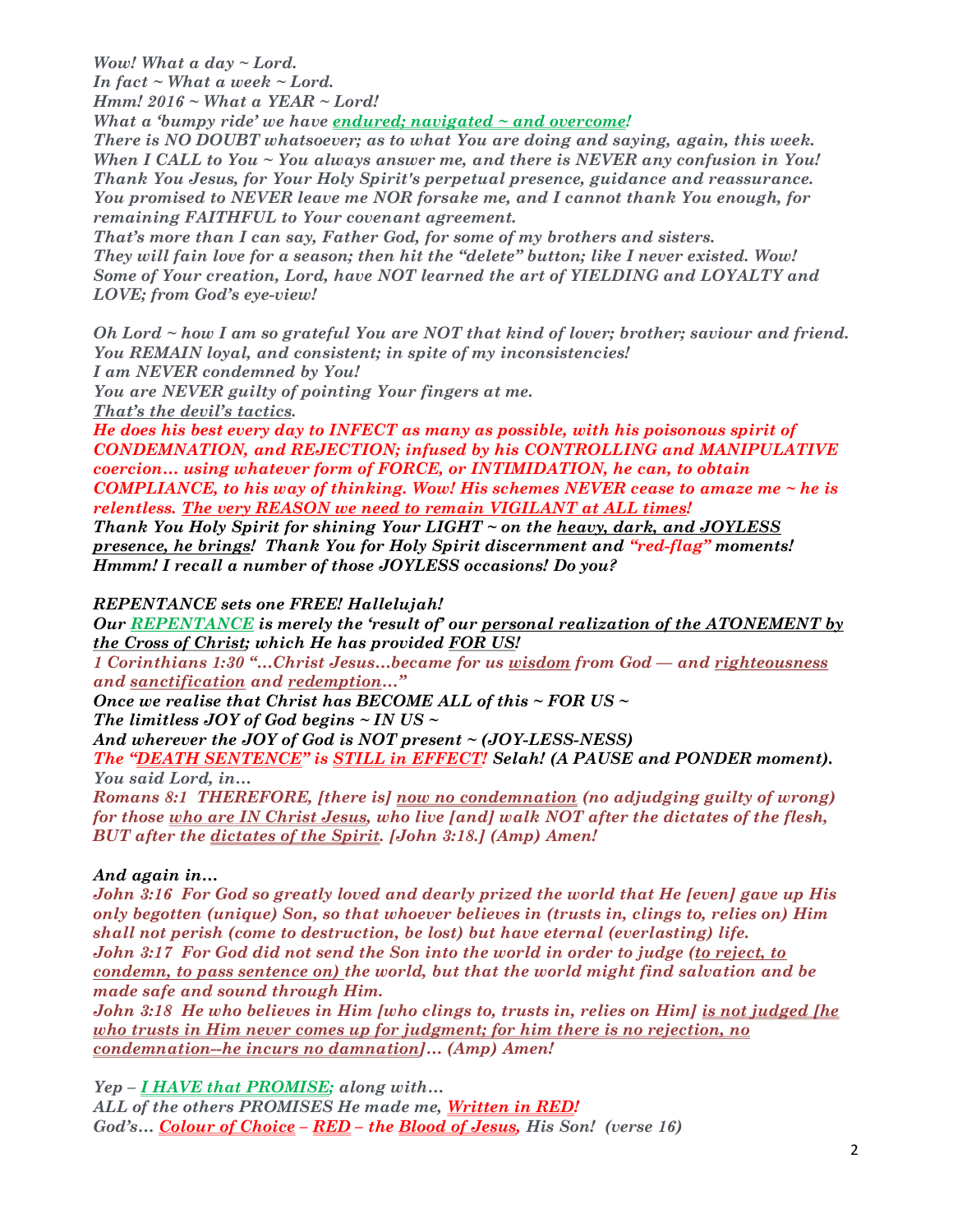Wow! What a day  $\sim$  Lord. In fact  $\sim$  What a week  $\sim$  Lord. Hmm!  $2016 \sim What \text{W}$  a YEAR  $\sim$  Lord!

What a 'bumpy ride' we have endured; navigated  $\sim$  and overcome!

There is NO DOUBT whatsoever; as to what You are doing and saying, again, this week. When I CALL to You ~ You always answer me, and there is NEVER any confusion in You! Thank You Jesus, for Your Holy Spirit's perpetual presence, guidance and reassurance. You promised to NEVER leave me NOR forsake me, and I cannot thank You enough, for remaining FAITHFUL to Your covenant agreement.

That's more than I can say, Father God, for some of my brothers and sisters. They will fain love for a season; then hit the "delete" button; like I never existed. Wow! Some of Your creation, Lord, have NOT learned the art of YIELDING and LOYALTY and LOVE; from God's eye-view!

Oh Lord ~ how I am so grateful You are NOT that kind of lover; brother; saviour and friend. You REMAIN loyal, and consistent; in spite of my inconsistencies!

I am NEVER condemned by You!

You are NEVER guilty of pointing Your fingers at me.

That's the devil's tactics.

He does his best every day to INFECT as many as possible, with his poisonous spirit of CONDEMNATION, and REJECTION; infused by his CONTROLLING and MANIPULATIVE coercion… using whatever form of FORCE, or INTIMIDATION, he can, to obtain COMPLIANCE, to his way of thinking. Wow! His schemes NEVER cease to amaze me  $\sim$  he is relentless. The very REASON we need to remain VIGILANT at ALL times!

Thank You Holy Spirit for shining Your LIGHT ~ on the heavy, dark, and JOYLESS presence, he brings! Thank You for Holy Spirit discernment and "red-flag" moments! Hmmm! I recall a number of those JOYLESS occasions! Do you?

REPENTANCE sets one FREE! Hallelujah!

Our REPENTANCE is merely the 'result of' our personal realization of the ATONEMENT by the Cross of Christ; which He has provided FOR US!

1 Corinthians 1:30 "…Christ Jesus…became for us wisdom from God — and righteousness and sanctification and redemption…"

Once we realise that Christ has BECOME ALL of this  $\sim$  FOR US  $\sim$ 

The limitless JOY of God begins  $\sim$  IN US  $\sim$ 

And wherever the JOY of God is NOT present ~ (JOY-LESS-NESS)

The "DEATH SENTENCE" is STILL in EFFECT! Selah! (A PAUSE and PONDER moment). You said Lord, in…

Romans 8:1 THEREFORE, [there is] now no condemnation (no adjudging guilty of wrong) for those who are IN Christ Jesus, who live [and] walk NOT after the dictates of the flesh, BUT after the dictates of the Spirit. [John 3:18.] (Amp) Amen!

And again in…

John 3:16 For God so greatly loved and dearly prized the world that He [even] gave up His only begotten (unique) Son, so that whoever believes in (trusts in, clings to, relies on) Him shall not perish (come to destruction, be lost) but have eternal (everlasting) life. John 3:17 For God did not send the Son into the world in order to judge (to reject, to condemn, to pass sentence on) the world, but that the world might find salvation and be made safe and sound through Him.

John 3:18 He who believes in Him [who clings to, trusts in, relies on Him] is not judged [he who trusts in Him never comes up for judgment; for him there is no rejection, no condemnation--he incurs no damnation]… (Amp) Amen!

Yep - *I HAVE that PROMISE*; along with...

ALL of the others PROMISES He made me, Written in RED! God's... Colour of Choice - RED - the Blood of Jesus, His Son! (verse 16)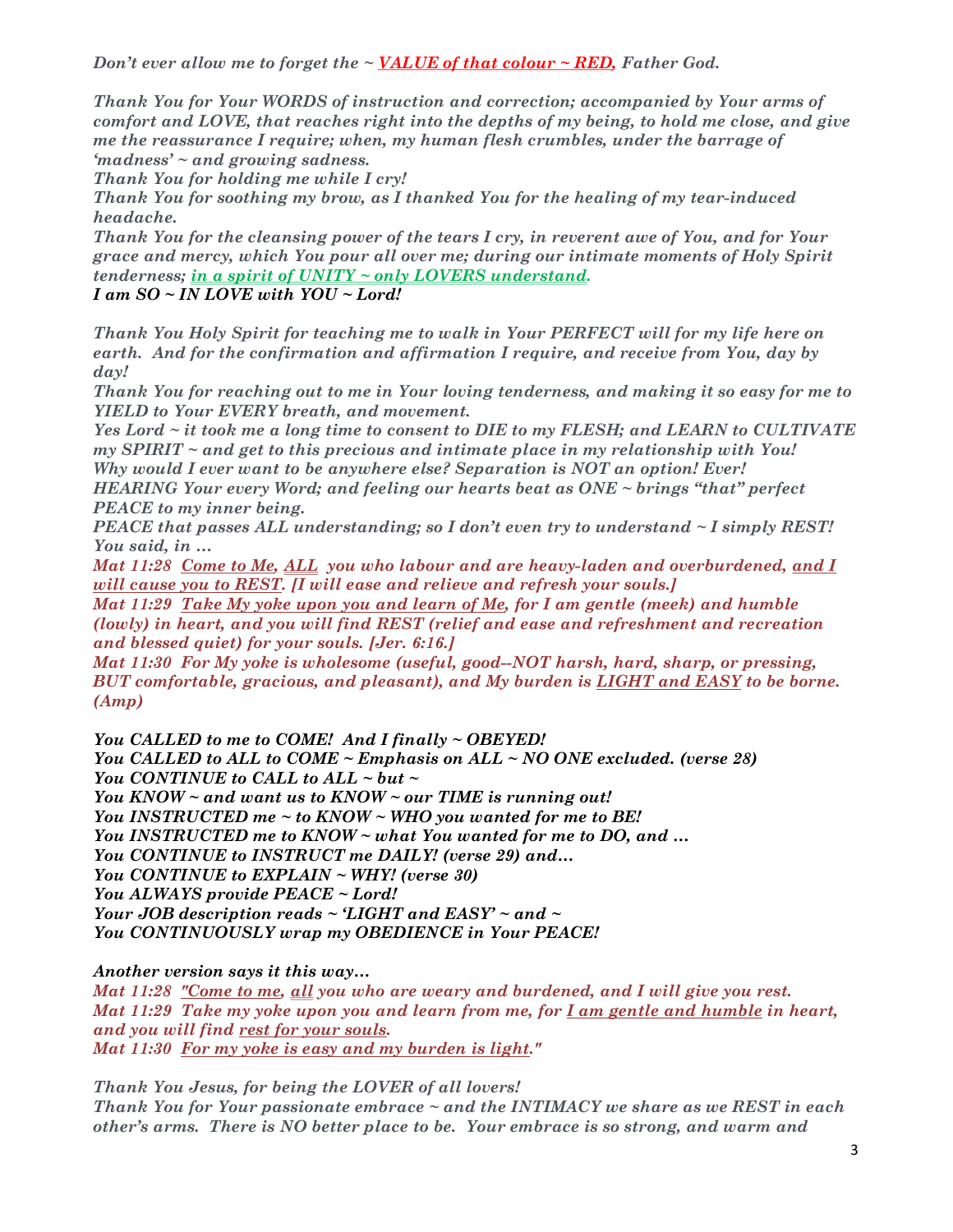Don't ever allow me to forget the  $\sim$  VALUE of that colour  $\sim$  RED, Father God.

Thank You for Your WORDS of instruction and correction; accompanied by Your arms of comfort and LOVE, that reaches right into the depths of my being, to hold me close, and give me the reassurance I require; when, my human flesh crumbles, under the barrage of 'madness' ~ and growing sadness.

Thank You for holding me while I cry!

Thank You for soothing my brow, as I thanked You for the healing of my tear-induced headache.

Thank You for the cleansing power of the tears I cry, in reverent awe of You, and for Your grace and mercy, which You pour all over me; during our intimate moments of Holy Spirit tenderness; in a spirit of UNITY ~ only LOVERS understand.

I am SO ~ IN LOVE with YOU ~ Lord!

Thank You Holy Spirit for teaching me to walk in Your PERFECT will for my life here on earth. And for the confirmation and affirmation I require, and receive from You, day by day!

Thank You for reaching out to me in Your loving tenderness, and making it so easy for me to YIELD to Your EVERY breath, and movement.

Yes Lord ~ it took me a long time to consent to DIE to my FLESH; and LEARN to CULTIVATE  $my$  SPIRIT  $\sim$  and get to this precious and intimate place in my relationship with You! Why would I ever want to be anywhere else? Separation is NOT an option! Ever!

HEARING Your every Word; and feeling our hearts beat as ONE ~ brings "that" perfect PEACE to my inner being.

PEACE that passes ALL understanding; so I don't even try to understand  $\sim$  I simply REST! You said, in …

Mat 11:28 Come to Me, ALL you who labour and are heavy-laden and overburdened, and I will cause you to REST. *[I will ease and relieve and refresh your souls.]* 

Mat 11:29 <u>Take My yoke upon you and learn of Me</u>, for I am gentle (meek) and humble (lowly) in heart, and you will find REST (relief and ease and refreshment and recreation and blessed quiet) for your souls. [Jer. 6:16.]

Mat 11:30 For My yoke is wholesome (useful, good--NOT harsh, hard, sharp, or pressing, BUT comfortable, gracious, and pleasant), and My burden is LIGHT and EASY to be borne. (Amp)

You CALLED to me to COME! And I finally ~ OBEYED! You CALLED to ALL to COME  $\sim$  Emphasis on ALL  $\sim$  NO ONE excluded. (verse 28) You CONTINUE to CALL to ALL  $\sim$  but  $\sim$ 

You KNOW ~ and want us to KNOW ~ our TIME is running out!

You INSTRUCTED me ~ to KNOW ~ WHO you wanted for me to BE!

You INSTRUCTED me to KNOW ~ what You wanted for me to DO, and ...

You CONTINUE to INSTRUCT me DAILY! (verse 29) and…

You CONTINUE to EXPLAIN ~ WHY! (verse 30)

You ALWAYS provide PEACE ~ Lord!

Your JOB description reads  $\sim$  'LIGHT and EASY'  $\sim$  and  $\sim$ You CONTINUOUSLY wrap my OBEDIENCE in Your PEACE!

Another version says it this way…

Mat 11:28 "Come to me, all you who are weary and burdened, and I will give you rest. Mat 11:29 Take my yoke upon you and learn from me, for I am gentle and humble in heart, and you will find rest for your souls. Mat 11:30 For my yoke is easy and my burden is light."

Thank You Jesus, for being the LOVER of all lovers! Thank You for Your passionate embrace ~ and the INTIMACY we share as we REST in each other's arms. There is NO better place to be. Your embrace is so strong, and warm and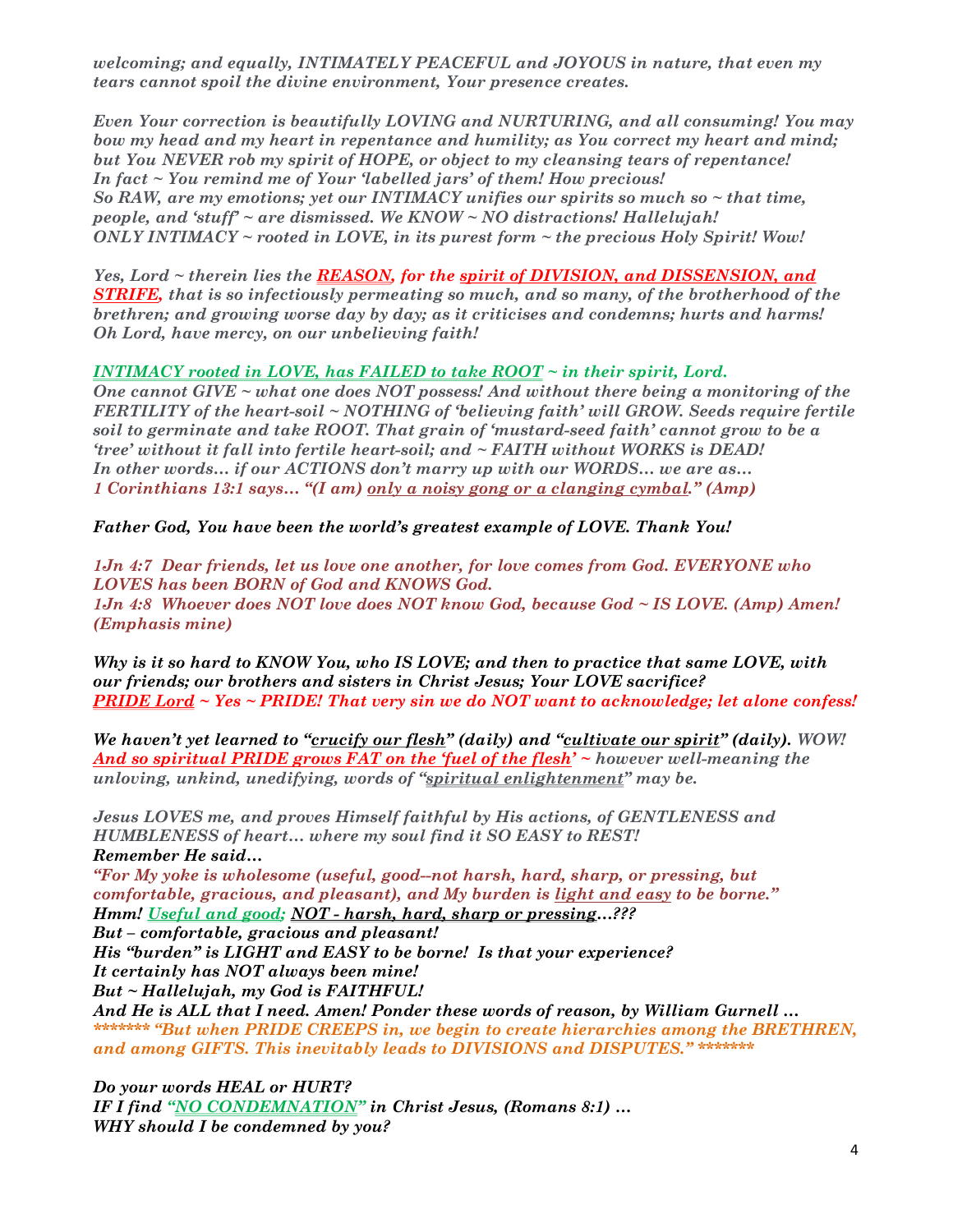welcoming; and equally, INTIMATELY PEACEFUL and JOYOUS in nature, that even my tears cannot spoil the divine environment, Your presence creates.

Even Your correction is beautifully LOVING and NURTURING, and all consuming! You may bow my head and my heart in repentance and humility; as You correct my heart and mind; but You NEVER rob my spirit of HOPE, or object to my cleansing tears of repentance! In fact ~ You remind me of Your 'labelled jars' of them! How precious! So RAW, are my emotions; yet our INTIMACY unifies our spirits so much so  $\sim$  that time, people, and 'stuff'  $\sim$  are dismissed. We KNOW  $\sim$  NO distractions! Hallelujah! ONLY INTIMACY  $\sim$  rooted in LOVE, in its purest form  $\sim$  the precious Holy Spirit! Wow!

Yes, Lord ~ therein lies the REASON, for the spirit of DIVISION, and DISSENSION, and **STRIFE**, that is so infectiously permeating so much, and so many, of the brotherhood of the brethren; and growing worse day by day; as it criticises and condemns; hurts and harms! Oh Lord, have mercy, on our unbelieving faith!

## INTIMACY rooted in LOVE, has FAILED to take  $ROOT \sim$  in their spirit, Lord.

One cannot GIVE  $\sim$  what one does NOT possess! And without there being a monitoring of the FERTILITY of the heart-soil ~ NOTHING of 'believing faith' will GROW. Seeds require fertile soil to germinate and take ROOT. That grain of 'mustard-seed faith' cannot grow to be a 'tree' without it fall into fertile heart-soil; and ~ FAITH without WORKS is DEAD! In other words… if our ACTIONS don't marry up with our WORDS… we are as… 1 Corinthians 13:1 says… "(I am) only a noisy gong or a clanging cymbal." (Amp)

Father God, You have been the world's greatest example of LOVE. Thank You!

1Jn 4:7 Dear friends, let us love one another, for love comes from God. EVERYONE who LOVES has been BORN of God and KNOWS God. 1Jn 4:8 Whoever does NOT love does NOT know God, because God ~ IS LOVE. (Amp) Amen! (Emphasis mine)

Why is it so hard to KNOW You, who IS LOVE; and then to practice that same LOVE, with our friends; our brothers and sisters in Christ Jesus; Your LOVE sacrifice? **PRIDE Lord ~ Yes ~ PRIDE!** That very sin we do NOT want to acknowledge; let alone confess!

We haven't yet learned to "crucify our flesh" (daily) and "cultivate our spirit" (daily). WOW! And so spiritual PRIDE grows FAT on the fuel of the flesh'  $\sim$  however well-meaning the unloving, unkind, unedifying, words of "spiritual enlightenment" may be.

Jesus LOVES me, and proves Himself faithful by His actions, of GENTLENESS and HUMBLENESS of heart… where my soul find it SO EASY to REST! Remember He said…

"For My yoke is wholesome (useful, good--not harsh, hard, sharp, or pressing, but comfortable, gracious, and pleasant), and My burden is light and easy to be borne." Hmm! Useful and good; NOT - harsh, hard, sharp or pressing...???

But – comfortable, gracious and pleasant!

His "burden" is LIGHT and EASY to be borne! Is that your experience? It certainly has NOT always been mine!

But ~ Hallelujah, my God is FAITHFUL!

And He is ALL that I need. Amen! Ponder these words of reason, by William Gurnell … \*\*\*\*\*\*\*\*\*\*\*\* "But when PRIDE CREEPS in, we begin to create hierarchies among the BRETHREN, and among GIFTS. This inevitably leads to DIVISIONS and DISPUTES." \*\*\*\*\*\*\*

Do your words HEAL or HURT? IF I find "NO CONDEMNATION" in Christ Jesus, (Romans 8:1) ... WHY should I be condemned by you?